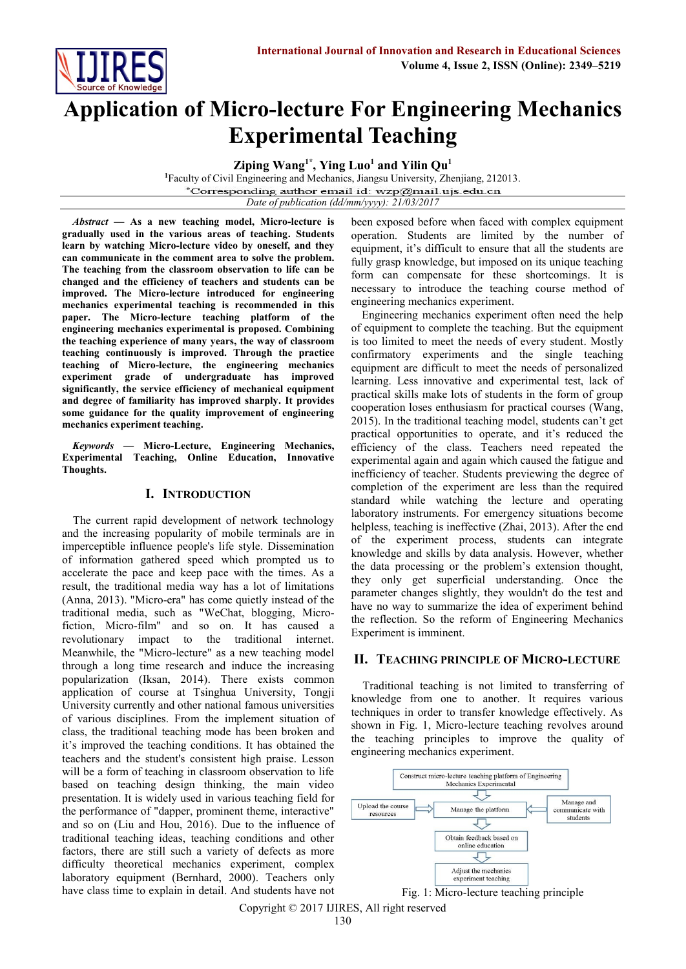

# **Application of Micro-lecture For Engineering Mechanics Experimental Teaching**

**Ziping Wang1\* , Ying Luo<sup>1</sup> and Yilin Qu<sup>1</sup>**

**<sup>1</sup>**Faculty of Civil Engineering and Mechanics, Jiangsu University, Zhenjiang, 212013. \*Corresponding author email id: wzp@mail.ujs.edu.cn *Date of publication (dd/mm/yyyy): 21/03/2017*

*Abstract* **— As a new teaching model, Micro-lecture is gradually used in the various areas of teaching. Students learn by watching Micro-lecture video by oneself, and they can communicate in the comment area to solve the problem. The teaching from the classroom observation to life can be changed and the efficiency of teachers and students can be improved. The Micro-lecture introduced for engineering mechanics experimental teaching is recommended in this paper. The Micro-lecture teaching platform of the engineering mechanics experimental is proposed. Combining the teaching experience of many years, the way of classroom teaching continuously is improved. Through the practice teaching of Micro-lecture, the engineering mechanics experiment grade of undergraduate has improved significantly, the service efficiency of mechanical equipment and degree of familiarity has improved sharply. It provides some guidance for the quality improvement of engineering mechanics experiment teaching.**

*Keywords* **— Micro-Lecture, Engineering Mechanics, Experimental Teaching, Online Education, Innovative Thoughts.**

## **I. INTRODUCTION**

The current rapid development of network technology and the increasing popularity of mobile terminals are in imperceptible influence people's life style. Dissemination of information gathered speed which prompted us to accelerate the pace and keep pace with the times. As a result, the traditional media way has a lot of limitations (Anna, 2013). "Micro-era" has come quietly instead of the traditional media, such as "WeChat, blogging, Microfiction, Micro-film" and so on. It has caused a revolutionary impact to the traditional internet. Meanwhile, the "Micro-lecture" as a new teaching model through a long time research and induce the increasing popularization (Iksan, 2014). There exists common application of course at Tsinghua University, Tongji University currently and other national famous universities of various disciplines. From the implement situation of class, the traditional teaching mode has been broken and it's improved the teaching conditions. It has obtained the teachers and the student's consistent high praise. Lesson will be a form of teaching in classroom observation to life based on teaching design thinking, the main video presentation. It is widely used in various teaching field for the performance of "dapper, prominent theme, interactive" and so on (Liu and Hou, 2016). Due to the influence of traditional teaching ideas, teaching conditions and other factors, there are still such a variety of defects as more difficulty theoretical mechanics experiment, complex laboratory equipment (Bernhard, 2000). Teachers only have class time to explain in detail. And students have not

been exposed before when faced with complex equipment operation. Students are limited by the number of equipment, it's difficult to ensure that all the students are fully grasp knowledge, but imposed on its unique teaching form can compensate for these shortcomings. It is necessary to introduce the teaching course method of engineering mechanics experiment.

Engineering mechanics experiment often need the help of equipment to complete the teaching. But the equipment is too limited to meet the needs of every student. Mostly confirmatory experiments and the single teaching equipment are difficult to meet the needs of personalized learning. Less innovative and experimental test, lack of practical skills make lots of students in the form of group cooperation loses enthusiasm for practical courses (Wang, 2015). In the traditional teaching model, students can't get practical opportunities to operate, and it's reduced the efficiency of the class. Teachers need repeated the experimental again and again which caused the fatigue and inefficiency of teacher. Students previewing the degree of completion of the experiment are less than the required standard while watching the lecture and operating laboratory instruments. For emergency situations become helpless, teaching is ineffective (Zhai, 2013). After the end of the experiment process, students can integrate knowledge and skills by data analysis. However, whether the data processing or the problem's extension thought, they only get superficial understanding. Once the parameter changes slightly, they wouldn't do the test and have no way to summarize the idea of experiment behind the reflection. So the reform of Engineering Mechanics Experiment is imminent.

# **II. TEACHING PRINCIPLE OF MICRO-LECTURE**

Traditional teaching is not limited to transferring of knowledge from one to another. It requires various techniques in order to transfer knowledge effectively. As shown in Fig. 1, Micro-lecture teaching revolves around the teaching principles to improve the quality of engineering mechanics experiment.





Copyright © 2017 IJIRES, All right reserved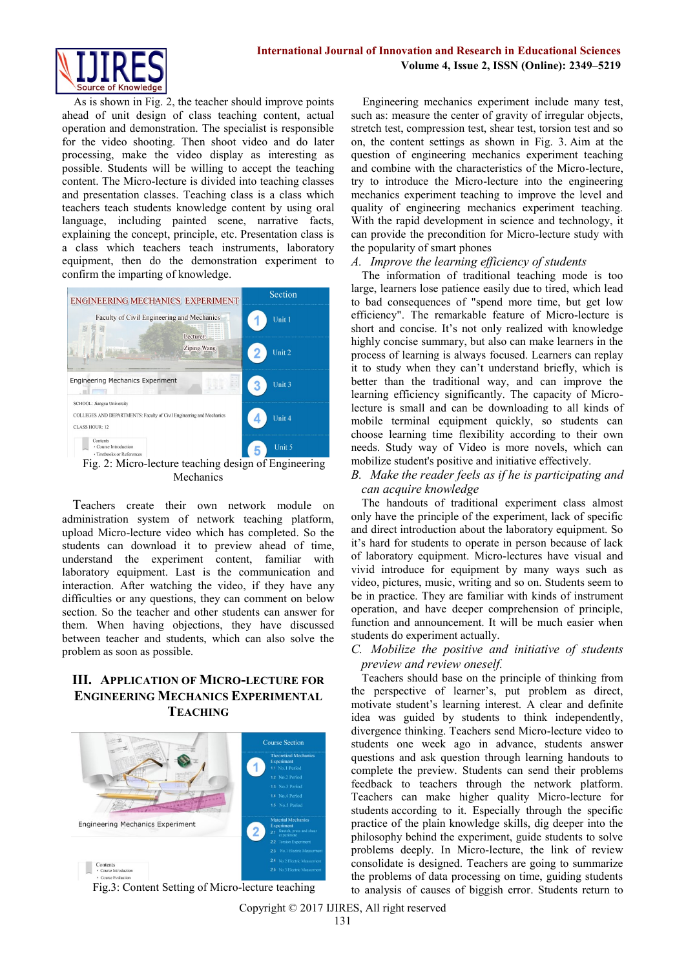

As is shown in Fig. 2, the teacher should improve points ahead of unit design of class teaching content, actual operation and demonstration. The specialist is responsible for the video shooting. Then shoot video and do later processing, make the video display as interesting as possible. Students will be willing to accept the teaching content. The Micro-lecture is divided into teaching classes and presentation classes. Teaching class is a class which teachers teach students knowledge content by using oral language, including painted scene, narrative facts, explaining the concept, principle, etc. Presentation class is a class which teachers teach instruments, laboratory equipment, then do the demonstration experiment to confirm the imparting of knowledge.



Mechanics

Teachers create their own network module on administration system of network teaching platform, upload Micro-lecture video which has completed. So the students can download it to preview ahead of time, understand the experiment content, familiar with laboratory equipment. Last is the communication and interaction. After watching the video, if they have any difficulties or any questions, they can comment on below section. So the teacher and other students can answer for them. When having objections, they have discussed between teacher and students, which can also solve the problem as soon as possible.

# **III. APPLICATION OF MICRO-LECTURE FOR ENGINEERING MECHANICS EXPERIMENTAL TEACHING**



Fig.3: Content Setting of Micro-lecture teaching

Engineering mechanics experiment include many test, such as: measure the center of gravity of irregular objects, stretch test, compression test, shear test, torsion test and so on, the content settings as shown in Fig. 3. Aim at the question of engineering mechanics experiment teaching and combine with the characteristics of the Micro-lecture, try to introduce the Micro-lecture into the engineering mechanics experiment teaching to improve the level and quality of engineering mechanics experiment teaching. With the rapid development in science and technology, it can provide the precondition for Micro-lecture study with the popularity of smart phones

#### *A. Improve the learning efficiency of students*

The information of traditional teaching mode is too large, learners lose patience easily due to tired, which lead to bad consequences of "spend more time, but get low efficiency". The remarkable feature of Micro-lecture is short and concise. It's not only realized with knowledge highly concise summary, but also can make learners in the process of learning is always focused. Learners can replay it to study when they can't understand briefly, which is better than the traditional way, and can improve the learning efficiency significantly. The capacity of Microlecture is small and can be downloading to all kinds of mobile terminal equipment quickly, so students can choose learning time flexibility according to their own needs. Study way of Video is more novels, which can mobilize student's positive and initiative effectively.

*B. Make the reader feels as if he is participating and can acquire knowledge*

The handouts of traditional experiment class almost only have the principle of the experiment, lack of specific and direct [introduction](javascript:void(0);) about the laboratory equipment. So it's hard for students to operate in person because of lack of laboratory equipment. Micro-lectures have visual and vivid introduce for equipment by many ways such as video, pictures, music, writing and so on. Students seem to be in practice. They are familiar with kinds of instrument operation, and have deeper comprehension of principle, function and announcement. It will be much easier when students do experiment actually.

### *C. Mobilize the positive and initiative of students preview and review oneself.*

Teachers should base on the principle of thinking from the perspective of learner's, put problem as direct, motivate student's learning interest. A clear and definite idea was guided by students to think independently, divergence thinking. Teachers send Micro-lecture video to students one week ago in advance, students answer questions and ask question through learning handouts to complete the preview. Students can send their problems feedback to teachers through the network platform. Teachers can make higher quality Micro-lecture for students according to it. Especially through the specific practice of the plain knowledge skills, dig deeper into the philosophy behind the experiment, guide students to solve problems deeply. In Micro-lecture, the link of review consolidate is designed. Teachers are going to summarize the problems of data processing on time, guiding students to analysis of causes of biggish error. Students return to

Copyright © 2017 IJIRES, All right reserved